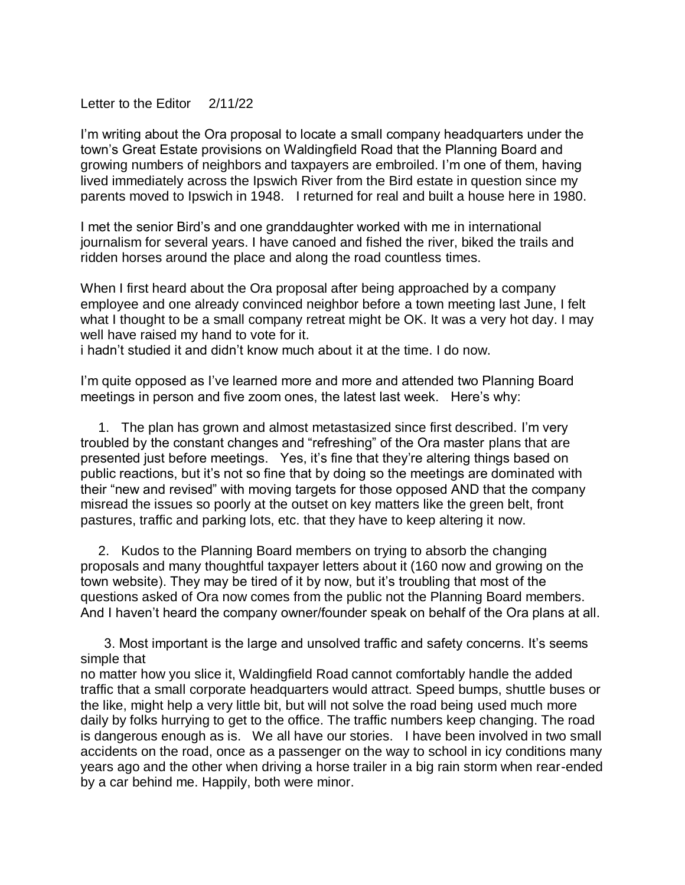## Letter to the Editor 2/11/22

I'm writing about the Ora proposal to locate a small company headquarters under the town's Great Estate provisions on Waldingfield Road that the Planning Board and growing numbers of neighbors and taxpayers are embroiled. I'm one of them, having lived immediately across the Ipswich River from the Bird estate in question since my parents moved to Ipswich in 1948. I returned for real and built a house here in 1980.

I met the senior Bird's and one granddaughter worked with me in international journalism for several years. I have canoed and fished the river, biked the trails and ridden horses around the place and along the road countless times.

When I first heard about the Ora proposal after being approached by a company employee and one already convinced neighbor before a town meeting last June, I felt what I thought to be a small company retreat might be OK. It was a very hot day. I may well have raised my hand to vote for it.

i hadn't studied it and didn't know much about it at the time. I do now.

I'm quite opposed as I've learned more and more and attended two Planning Board meetings in person and five zoom ones, the latest last week. Here's why:

 1. The plan has grown and almost metastasized since first described. I'm very troubled by the constant changes and "refreshing" of the Ora master plans that are presented just before meetings. Yes, it's fine that they're altering things based on public reactions, but it's not so fine that by doing so the meetings are dominated with their "new and revised" with moving targets for those opposed AND that the company misread the issues so poorly at the outset on key matters like the green belt, front pastures, traffic and parking lots, etc. that they have to keep altering it now.

 2. Kudos to the Planning Board members on trying to absorb the changing proposals and many thoughtful taxpayer letters about it (160 now and growing on the town website). They may be tired of it by now, but it's troubling that most of the questions asked of Ora now comes from the public not the Planning Board members. And I haven't heard the company owner/founder speak on behalf of the Ora plans at all.

 3. Most important is the large and unsolved traffic and safety concerns. It's seems simple that

no matter how you slice it, Waldingfield Road cannot comfortably handle the added traffic that a small corporate headquarters would attract. Speed bumps, shuttle buses or the like, might help a very little bit, but will not solve the road being used much more daily by folks hurrying to get to the office. The traffic numbers keep changing. The road is dangerous enough as is. We all have our stories. I have been involved in two small accidents on the road, once as a passenger on the way to school in icy conditions many years ago and the other when driving a horse trailer in a big rain storm when rear-ended by a car behind me. Happily, both were minor.